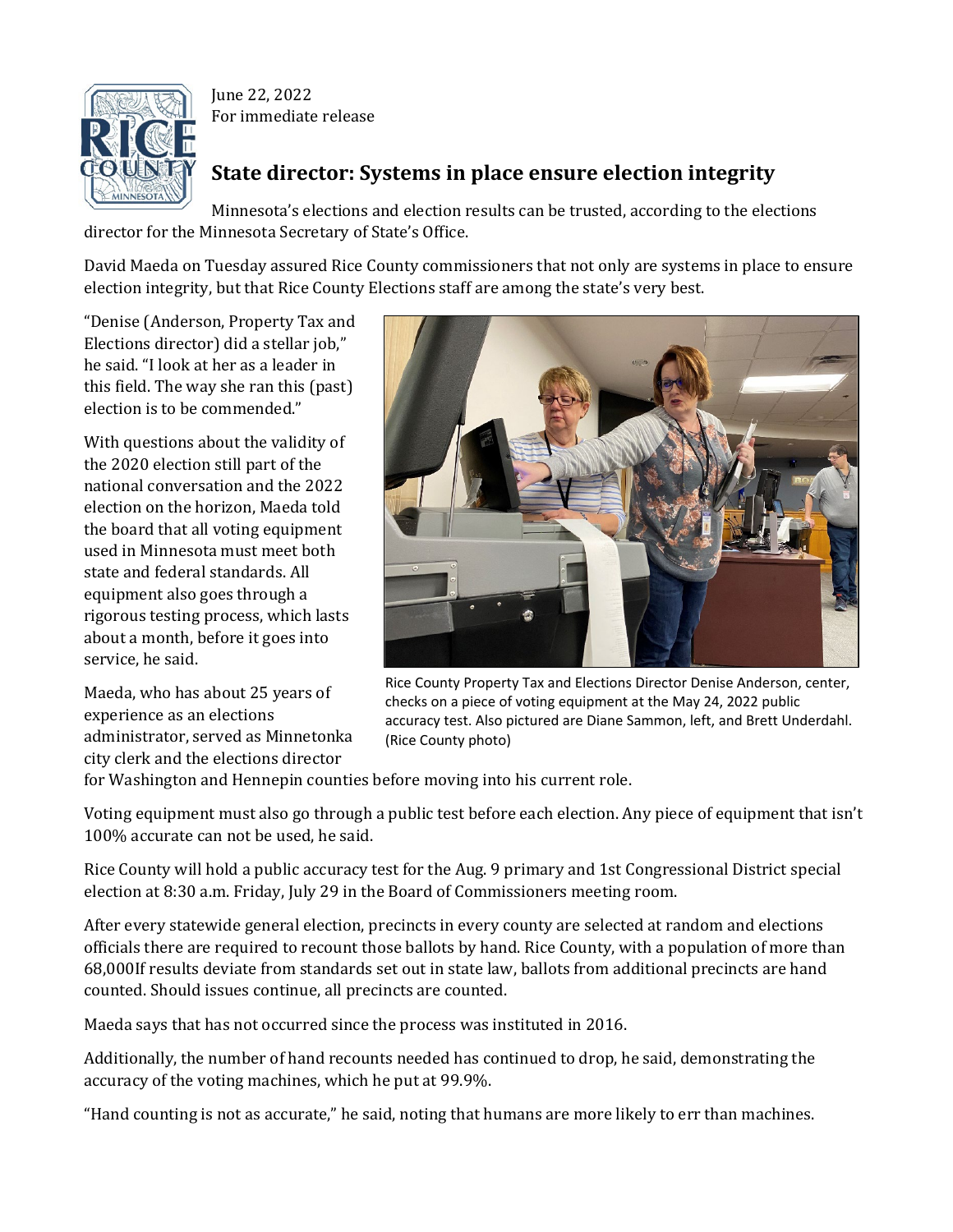

June 22, 2022 For immediate release

## **State director: Systems in place ensure election integrity**

Minnesota's elections and election results can be trusted, according to the elections director for the Minnesota Secretary of State's Office.

David Maeda on Tuesday assured Rice County commissioners that not only are systems in place to ensure election integrity, but that Rice County Elections staff are among the state's very best.

"Denise (Anderson, Property Tax and Elections director) did a stellar job," he said. "I look at her as a leader in this field. The way she ran this (past) election is to be commended."

With questions about the validity of the 2020 election still part of the national conversation and the 2022 election on the horizon, Maeda told the board that all voting equipment used in Minnesota must meet both state and federal standards. All equipment also goes through a rigorous testing process, which lasts about a month, before it goes into service, he said.

Maeda, who has about 25 years of experience as an elections administrator, served as Minnetonka city clerk and the elections director



Rice County Property Tax and Elections Director Denise Anderson, center, checks on a piece of voting equipment at the May 24, 2022 public accuracy test. Also pictured are Diane Sammon, left, and Brett Underdahl. (Rice County photo)

for Washington and Hennepin counties before moving into his current role.

Voting equipment must also go through a public test before each election. Any piece of equipment that isn't 100% accurate can not be used, he said.

Rice County will hold a public accuracy test for the Aug. 9 primary and 1st Congressional District special election at 8:30 a.m. Friday, July 29 in the Board of Commissioners meeting room.

After every statewide general election, precincts in every county are selected at random and elections officials there are required to recount those ballots by hand. Rice County, with a population of more than 68,000If results deviate from standards set out in state law, ballots from additional precincts are hand counted. Should issues continue, all precincts are counted.

Maeda says that has not occurred since the process was instituted in 2016.

Additionally, the number of hand recounts needed has continued to drop, he said, demonstrating the accuracy of the voting machines, which he put at 99.9%.

"Hand counting is not as accurate," he said, noting that humans are more likely to err than machines.